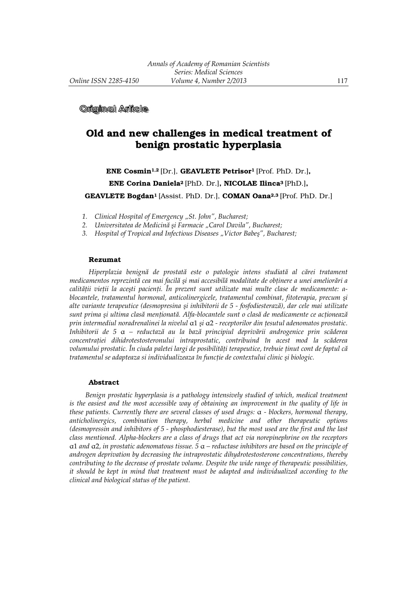**Original Arlicle** 

# Old and new challenges in medical treatment of benign prostatic hyperplasia

ENE Cosmin1,2 [Dr.], GEAVLETE Petrisor1 [Prof. PhD. Dr.],

ENE Corina Daniela2 [PhD. Dr.], NICOLAE Ilinca3 [PhD.],

GEAVLETE Bogdan<sup>1</sup> [Assist. PhD. Dr.], COMAN Oana<sup>2,3</sup> [Prof. PhD. Dr.]

- *1. Clinical Hospital of Emergency "St. John", Bucharest;*
- *2. Universitatea de Medicină şi Farmacie "Carol Davila", Bucharest;*
- *3. Hospital of Tropical and Infectious Diseases "Victor Babeş", Bucharest;*

#### Rezumat

*Hiperplazia benignă de prostată este o patologie intens studiată al cărei tratament medicamentos reprezintă cea mai facilă şi mai accesibilă modalitate de obŃinere a unei ameliorări a calității vieții la acești pacienți. În prezent sunt utilizate mai multe clase de medicamente: α blocantele, tratamentul hormonal, anticolinergicele, tratamentul combinat, fitoterapia, precum şi alte variante terapeutice (desmopresina şi inhibitorii de 5 - fosfodiesterază), dar cele mai utilizate sunt prima şi ultima clasă menŃionată. Alfa-blocantele sunt o clasă de medicamente ce acŃionează prin intermediul noradrenalinei la nivelul* α1 *şi* α2 - receptorilor din țesutul adenomatos prostatic. *Inhibitorii de 5* α *– reductază au la bază principiul deprivării androgenice prin scăderea concentraŃiei dihidrotestosteronului intraprostatic, contribuind în acest mod la scăderea*   $v$ olumului prostatic. În ciuda paletei largi de posibilități terapeutice, trebuie ținut cont de faptul că *tratamentul se adapteaza si individualizeaza în functie de contextului clinic și biologic.* 

#### Abstract

*Benign prostatic hyperplasia is a pathology intensively studied of which, medical treatment is the easiest and the most accessible way of obtaining an improvement in the quality of life in these patients. Currently there are several classes of used drugs:* α *- blockers, hormonal therapy, anticholinergics, combination therapy, herbal medicine and other therapeutic options (desmopressin and inhibitors of 5 - phosphodiesterase), but the most used are the first and the last class mentioned. Alpha-blockers are a class of drugs that act via norepinephrine on the receptors*  α1 *and* α2*, in prostatic adenomatous tissue. 5* α *– reductase inhibitors are based on the principle of androgen deprivation by decreasing the intraprostatic dihydrotestosterone concentrations, thereby contributing to the decrease of prostate volume. Despite the wide range of therapeutic possibilities, it should be kept in mind that treatment must be adapted and individualized according to the clinical and biological status of the patient.*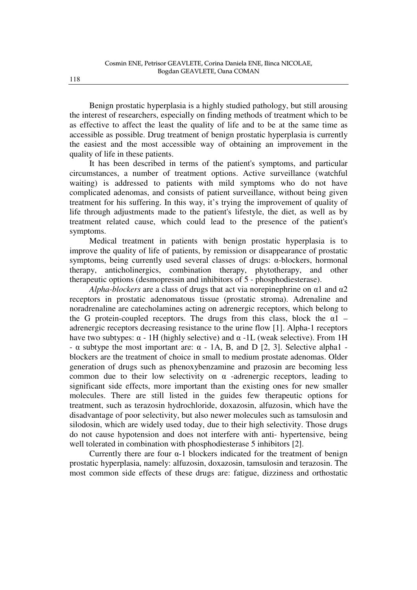Benign prostatic hyperplasia is a highly studied pathology, but still arousing the interest of researchers, especially on finding methods of treatment which to be as effective to affect the least the quality of life and to be at the same time as accessible as possible. Drug treatment of benign prostatic hyperplasia is currently the easiest and the most accessible way of obtaining an improvement in the quality of life in these patients.

It has been described in terms of the patient's symptoms, and particular circumstances, a number of treatment options. Active surveillance (watchful waiting) is addressed to patients with mild symptoms who do not have complicated adenomas, and consists of patient surveillance, without being given treatment for his suffering. In this way, it's trying the improvement of quality of life through adjustments made to the patient's lifestyle, the diet, as well as by treatment related cause, which could lead to the presence of the patient's symptoms.

Medical treatment in patients with benign prostatic hyperplasia is to improve the quality of life of patients, by remission or disappearance of prostatic symptoms, being currently used several classes of drugs: α-blockers, hormonal therapy, anticholinergics, combination therapy, phytotherapy, and other therapeutic options (desmopressin and inhibitors of 5 - phosphodiesterase).

*Alpha-blockers* are a class of drugs that act via norepinephrine on α1 and α2 receptors in prostatic adenomatous tissue (prostatic stroma). Adrenaline and noradrenaline are catecholamines acting on adrenergic receptors, which belong to the G protein-coupled receptors. The drugs from this class, block the  $\alpha$ 1 – adrenergic receptors decreasing resistance to the urine flow [1]. Alpha-1 receptors have two subtypes:  $\alpha$  - 1H (highly selective) and  $\alpha$  -1L (weak selective). From 1H - α subtype the most important are: α - 1A, B, and D [2, 3]. Selective alpha1 blockers are the treatment of choice in small to medium prostate adenomas. Older generation of drugs such as phenoxybenzamine and prazosin are becoming less common due to their low selectivity on  $\alpha$  -adrenergic receptors, leading to significant side effects, more important than the existing ones for new smaller molecules. There are still listed in the guides few therapeutic options for treatment, such as terazosin hydrochloride, doxazosin, alfuzosin, which have the disadvantage of poor selectivity, but also newer molecules such as tamsulosin and silodosin, which are widely used today, due to their high selectivity. Those drugs do not cause hypotension and does not interfere with anti- hypertensive, being well tolerated in combination with phosphodiesterase 5 inhibitors [2].

Currently there are four  $\alpha$ -1 blockers indicated for the treatment of benign prostatic hyperplasia, namely: alfuzosin, doxazosin, tamsulosin and terazosin. The most common side effects of these drugs are: fatigue, dizziness and orthostatic

118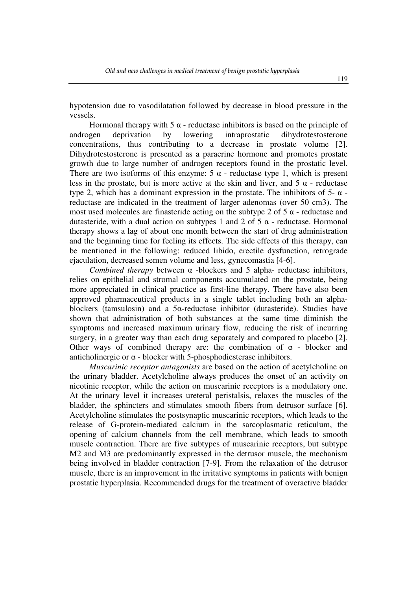hypotension due to vasodilatation followed by decrease in blood pressure in the vessels.

Hormonal therapy with  $5 \alpha$  - reductase inhibitors is based on the principle of deprivation by lowering intraprostatic dihydrotestosterone androgen deprivation by lowering intraprostatic dihydrotestosterone concentrations, thus contributing to a decrease in prostate volume [2]. Dihydrotestosterone is presented as a paracrine hormone and promotes prostate growth due to large number of androgen receptors found in the prostatic level. There are two isoforms of this enzyme:  $5 \alpha$  - reductase type 1, which is present less in the prostate, but is more active at the skin and liver, and  $5\alpha$  - reductase type 2, which has a dominant expression in the prostate. The inhibitors of 5- α reductase are indicated in the treatment of larger adenomas (over 50 cm3). The most used molecules are finasteride acting on the subtype 2 of 5  $\alpha$  - reductase and dutasteride, with a dual action on subtypes 1 and 2 of 5  $\alpha$  - reductase. Hormonal therapy shows a lag of about one month between the start of drug administration and the beginning time for feeling its effects. The side effects of this therapy, can be mentioned in the following: reduced libido, erectile dysfunction, retrograde ejaculation, decreased semen volume and less, gynecomastia [4-6].

*Combined therapy* between α -blockers and 5 alpha- reductase inhibitors, relies on epithelial and stromal components accumulated on the prostate, being more appreciated in clinical practice as first-line therapy. There have also been approved pharmaceutical products in a single tablet including both an alphablockers (tamsulosin) and a 5α-reductase inhibitor (dutasteride). Studies have shown that administration of both substances at the same time diminish the symptoms and increased maximum urinary flow, reducing the risk of incurring surgery, in a greater way than each drug separately and compared to placebo [2]. Other ways of combined therapy are: the combination of  $\alpha$  - blocker and anticholinergic or  $\alpha$  - blocker with 5-phosphodiesterase inhibitors.

*Muscarinic receptor antagonists* are based on the action of acetylcholine on the urinary bladder. Acetylcholine always produces the onset of an activity on nicotinic receptor, while the action on muscarinic receptors is a modulatory one. At the urinary level it increases ureteral peristalsis, relaxes the muscles of the bladder, the sphincters and stimulates smooth fibers from detrusor surface [6]. Acetylcholine stimulates the postsynaptic muscarinic receptors, which leads to the release of G-protein-mediated calcium in the sarcoplasmatic reticulum, the opening of calcium channels from the cell membrane, which leads to smooth muscle contraction. There are five subtypes of muscarinic receptors, but subtype M2 and M3 are predominantly expressed in the detrusor muscle, the mechanism being involved in bladder contraction [7-9]. From the relaxation of the detrusor muscle, there is an improvement in the irritative symptoms in patients with benign prostatic hyperplasia. Recommended drugs for the treatment of overactive bladder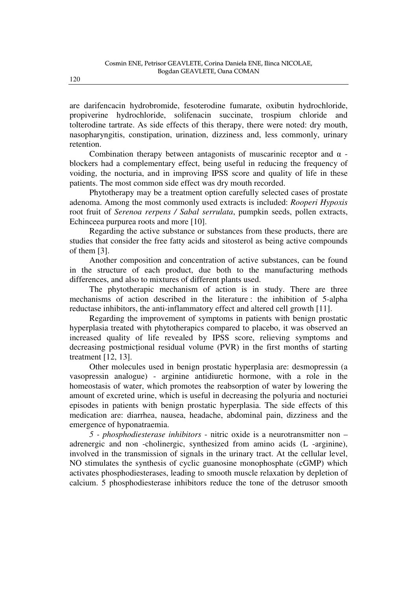are darifencacin hydrobromide, fesoterodine fumarate, oxibutin hydrochloride, propiverine hydrochloride, solifenacin succinate, trospium chloride and tolterodine tartrate. As side effects of this therapy, there were noted: dry mouth, nasopharyngitis, constipation, urination, dizziness and, less commonly, urinary retention.

Combination therapy between antagonists of muscarinic receptor and  $\alpha$  blockers had a complementary effect, being useful in reducing the frequency of voiding, the nocturia, and in improving IPSS score and quality of life in these patients. The most common side effect was dry mouth recorded.

Phytotherapy may be a treatment option carefully selected cases of prostate adenoma. Among the most commonly used extracts is included: *Rooperi Hypoxis* root fruit of *Serenoa rerpens / Sabal serrulata*, pumpkin seeds, pollen extracts, Echinceea purpurea roots and more [10].

Regarding the active substance or substances from these products, there are studies that consider the free fatty acids and sitosterol as being active compounds of them [3].

Another composition and concentration of active substances, can be found in the structure of each product, due both to the manufacturing methods differences, and also to mixtures of different plants used.

The phytotherapic mechanism of action is in study. There are three mechanisms of action described in the literature : the inhibition of 5-alpha reductase inhibitors, the anti-inflammatory effect and altered cell growth [11].

Regarding the improvement of symptoms in patients with benign prostatic hyperplasia treated with phytotherapics compared to placebo, it was observed an increased quality of life revealed by IPSS score, relieving symptoms and decreasing postmictional residual volume (PVR) in the first months of starting treatment [12, 13].

Other molecules used in benign prostatic hyperplasia are: desmopressin (a vasopressin analogue) - arginine antidiuretic hormone, with a role in the homeostasis of water, which promotes the reabsorption of water by lowering the amount of excreted urine, which is useful in decreasing the polyuria and nocturiei episodes in patients with benign prostatic hyperplasia. The side effects of this medication are: diarrhea, nausea, headache, abdominal pain, dizziness and the emergence of hyponatraemia.

*5 - phosphodiesterase inhibitors* - nitric oxide is a neurotransmitter non – adrenergic and non -cholinergic, synthesized from amino acids (L -arginine), involved in the transmission of signals in the urinary tract. At the cellular level, NO stimulates the synthesis of cyclic guanosine monophosphate (cGMP) which activates phosphodiesterases, leading to smooth muscle relaxation by depletion of calcium. 5 phosphodiesterase inhibitors reduce the tone of the detrusor smooth

120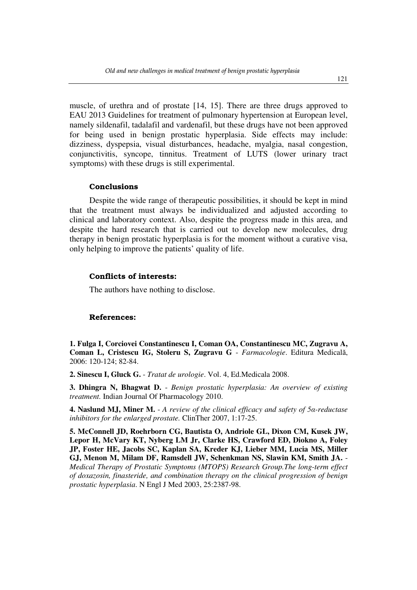muscle, of urethra and of prostate [14, 15]. There are three drugs approved to EAU 2013 Guidelines for treatment of pulmonary hypertension at European level, namely sildenafil, tadalafil and vardenafil, but these drugs have not been approved for being used in benign prostatic hyperplasia. Side effects may include: dizziness, dyspepsia, visual disturbances, headache, myalgia, nasal congestion, conjunctivitis, syncope, tinnitus. Treatment of LUTS (lower urinary tract symptoms) with these drugs is still experimental.

#### Conclusions

Despite the wide range of therapeutic possibilities, it should be kept in mind that the treatment must always be individualized and adjusted according to clinical and laboratory context. Also, despite the progress made in this area, and despite the hard research that is carried out to develop new molecules, drug therapy in benign prostatic hyperplasia is for the moment without a curative visa, only helping to improve the patients' quality of life.

### Conflicts of interests:

The authors have nothing to disclose.

## References:

**1. Fulga I, Corciovei Constantinescu I, Coman OA, Constantinescu MC, Zugravu A, Coman L, Cristescu IG, Stoleru S, Zugravu G** - *Farmacologie*. Editura Medicală, 2006: 120-124; 82-84.

**2. Sinescu I, Gluck G.** - *Tratat de urologie*. Vol. 4, Ed.Medicala 2008.

**3. Dhingra N, Bhagwat D.** - *Benign prostatic hyperplasia: An overview of existing treatment.* Indian Journal Of Pharmacology 2010.

**4. Naslund MJ, Miner M.** - *A review of the clinical efficacy and safety of 5α-reductase inhibitors for the enlarged prostate.* ClinTher 2007, 1:17-25.

**5. McConnell JD, Roehrborn CG, Bautista O, Andriole GL, Dixon CM, Kusek JW, Lepor H, McVary KT, Nyberg LM Jr, Clarke HS, Crawford ED, Diokno A, Foley JP, Foster HE, Jacobs SC, Kaplan SA, Kreder KJ, Lieber MM, Lucia MS, Miller GJ, Menon M, Milam DF, Ramsdell JW, Schenkman NS, Slawin KM, Smith JA.** - *Medical Therapy of Prostatic Symptoms (MTOPS) Research Group.The long-term effect of doxazosin, finasteride, and combination therapy on the clinical progression of benign prostatic hyperplasia*. N Engl J Med 2003, 25:2387-98.